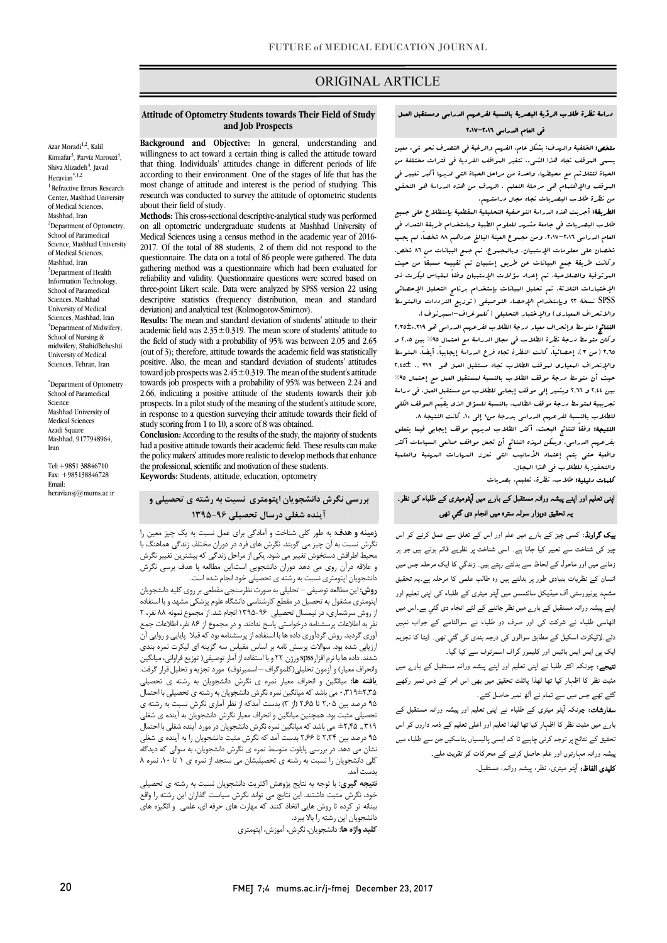# ORIGINAL ARTICLE

## دراسۀ نظرة طلاب الرؤیۀ البصریۀ بالنسبۀ لفرعهم الدراسی ومستقبل العمل فی العام الدراسی 2017-2016

ص

م**لخص:** الخلفیة والرسدف: بـشکل عام. الفرسم والرغبة فی التصرف نـحو شیء معین یسی مسیحی مع محیطها. مسیحی معرف معدات من معدات التی است.<br>الحیاة لتتلائم مع محیطها. واحدة من مراحل الحیاة التی لدیها أکبر تغییر فی الموقف والإهتمام هی مرحلۀ التعلم . الهدف من هذه الدراسۀ هو التحقق من نظرة طلاب البصریات تجاه مجال دراستهم. یسمى الموقف تجاه هذا الشیء. تتغیر المواقف الفردیۀ فی فترات مختلفۀ من

لطریقۀ: أجریت هذه الدراسۀ التوصفیۀ التحلیلیۀ المتقطعیۀ بإستطلاع على جسیع العام الدراسی .2017-2016 ومن مجموع العینۀ البالغ عددهم 88 شخصا،ً لم یجب شخصان على معلومات الإستبیان. وبالمجموع، تم جمع البیانات من 86 شخص. وکانت طریقۀ جمع البیانات عن طریق إستبیان تم تقییمه مسبقاً من حیث الموثوقیۀ والصلاحیۀ. تم إعداد سؤلات الإستبیان وفقاً لمقیاس لیکرت ذو SPSS نسخۀ 22 وبإستخدام الإحصاء التوصیفی (توزیع الترددات والمتوسط والانحراف المعیاري) والإختبار التحلیلی (کلموغراف-اسمیرنوف). طلاب البصریات فی جامعۀ مشهد للعلوم الطبیۀ وباستخدام طریقۀ التعداد فی الإختیارات الثلاثۀ. تم تحلیل البیانات بإستخدام برنامج التحلیل الإحصائی

 النتائج: متوسط وإنحراف معیار درجۀ الطلاب لفرعهم الدراسی هو 2,35±0,319 2,65 (من 3)، إحصائیا،ً کانت النظرة تجاه فرع الدراسۀ إیجابیا.ً أیضا،ً المتوسط والإنحراف المعیاري لموقف الطلاب تجاه مستقبل العمل هو 319 ., 2,45± حیث أن متوسط درجۀ موقف الطلاب بالنسبۀ لمستقبل العمل مع إحتمال %95 بین 2,44 و 2,66 ویشیر إلى موقف إیجابی للطلاب من مستقبل العمل. فی دراسۀ للبریبید ملکوب اگر به موسف اسلامین بالنسبه مسکون النت یکی بالوست<br>للطلاب بالنسبۀ لفرعهم الدراسی بدرجۀ من\ إلى ١٠، کانت النتیجۀ ٨. وکان متوسط درجۀ نظرة الطلاب فی مجال الدراسۀ مع احتمال %95 بین 2,05 و تجریبیۀ لمتوسط درجۀ موقف الطالب، بالنسبۀ للسؤال الذي یقیّم الموقف الکلی

 النتیجۀ: وفقاً لنتائج البحث، أکثر الطلاب لدیهم موقف إیجابی فیما یتعلق بفرعهم الدراسی. ویمکن لهذه النتائج أن تجعل مواقف صانعی السیاسات أکثر واقعیۀ حتى یتم إعتماد الأسالیب التی تعزز المهارات المهنیۀ والعلمیۀ والتحفیزیۀ للطلاب فی هذا المجال.

کلمات دلیلیۀ: طلاب، نظرة، تعلیم، بصریات

# ۔<br>اپنی تعلیم اور اپنے پیشہ ورانہ مستقبل کے بارے میں آپٹومیٹری کے طلباء کی نظر۔ ے ..۔<br>بہ تحقیق دوہزار سولہ سترہ میں انجام دی گئي تھی

**یک گراونڈ**: کسی چیز کے بار<sub>ے</sub> میں علم اور اس کے تعلق سے عمل کرنے کو اس چیز کی شناخت سے تعبیر کیا جاتا ہے۔ اسی شناخت پر نظریے قائم ہوتے ہیں جو ہر<br>۔ ان ت دی ر وہ ۔ ۔<br>مشہد یونیورسٹی آف میڈیکل سائنسس میں آپٹو میٹری کے طلباء کی اپنی تعلیم اور ۔<br>پنے پیشہ ورانہ مستقبل کے بار<sub>ے</sub> میں نظر جاننے کے لئے انجام دی گئي ہے۔اس میں اٹھاسی طلباء نے شرکت کی اور صرف دو طلباء نے سوالنامے کے جواب نہیں دئے۔لائیکرٹ اسکیل کے مطابق سوالوں کی درجہ بندی کی گئي تھی۔ ڈیٹا کا تجزیہ ایک پی ایس ایس بائیس اور کلیمور گراف اسمرنوف سے کیا گیا۔ زمانے میں اور ماحول کے لحاظ سے بدلتے رہتے ہیں۔ زندگي کا ایک مرحلہ جس میں

**تیجے:** چونکہ اکثر طلبا نے اپنی تعلیم اور اپنے پیشہ ورانہ مستقبل کے بار<sub>ے</sub> میں مثبت نظر کا اظہار کیا تھا لھذا پائلٹ تحقیق میں بھی اس امر کے دس نمبر رکھے گئے تھے جس میں سے تمام نے آٹھ نمبر حاصل کئے۔<br>۔

ر کے ساتھ کر کے لیے اس کے ساتھ کر کر ہے۔<br>بارے میں مثبت نظر کا اظہار کیا تھا لھذا تعلیم اور اعلی تعلیم کے ذمہ داروں کو اس ے ۔<br>نحقیق کے نتائج پر توجہ کرنی چاہیے تا کہ ایسی پالیسیاں بناسکیں جن سے طلباء میں ۔ ۔<br>بیشہ ورانہ مہارتوں اور علم حاصل کرنے کے محرکات کو تقویت ملے۔ **کلیدی الفاظ:** آپٹو میٹری، نظر، پیشہ ورانہ، مستقبل۔ <mark>سفارشات:</mark> چونکہ آپٹو میٹری کے طلباء نے اپنی تعلیم اور پیشہ ورانہ مستقبل کے

#### **Attitude of Optometry Students towards Their Field of Study and Job Prospects**

Ī

 **Background and Objective:** In general, understanding and willingness to act toward a certain thing is called the attitude toward that thing. Individuals' attitudes change in different periods of life most change of attitude and interest is the period of studying. This research was conducted to survey the attitude of optometric students<br>about their field of study according to their environment. One of the stages of life that has the about their field of study.

 **Methods:** This cross-sectional descriptive-analytical study was performed Medical Sciences using a census method in the academic year of 2016- 2017. Of the total of 88 students, 2 of them did not respond to the gathering method was a questionnaire which had been evaluated for reliability and validity. Questionnaire questions were scored based on descriptive statistics (frequency distribution, mean and standard deviation) and analytical test (Kolmogorov-Smirnov). on all optometric undergraduate students at Mashhad University of questionnaire. The data on a total of 86 people were gathered. The data three-point Likert scale. Data were analyzed by SPSS version 22 using

academic field was  $2.35 \pm 0.319$ . The mean score of students' attitude to the field of study with a probability of 95% was between 2.05 and 2.65  $(\text{cut of 3})$ , therefore, it with the product the conduction field and attributed positive. Also, the mean and standard deviation of students' attitudes toward job prospects was  $2.45 \pm 0.515$ . The file and of the station is attitude towards job prospects with a probability of 95% was between 2.24 and 2.66, indicating a positive attitude of the students towards their job in response to a question surveying their attitude towards their field of study scoring from 1 to 10, a score of 8 was obtained. **Results:** The mean and standard deviation of students' attitude to their (out of 3); therefore, attitude towards the academic field was statistically toward job prospects was  $2.45 \pm 0.319$ . The mean of the student's attitude prospects. In a pilot study of the meaning of the student's attitude score,

 had a positive attitude towards their academic field. These results can make the policy makers' attitudes more realistic to develop methods that enhance **Conclusion:** According to the results of the study, the majority of students the professional, scientific and motivation of these students.

**Keywords:** Students, attitude, education, optometry

# **آینده شغلی درسال تحصیلی 1395-96 بررسی نگرش دانشجویان اپتومتري نسبت به رشته ي تحصیلی و**

رمینه و مانت. به خور می شد می ورسمی برای مین شبت به یت پیر مین را<br>نگرش نسبت به آن چیز می گویند. نگرش های فرد در دوران مختلف زندگی هماهنگ با محیط اطرافش دستخوش تغییر می شود. یکی از مراحل زندگی که بیشترین تغییر نگرش و علاقه درآن روی می دهد دوران دانشجویی است.این مطالعه با هدف برسی نگرش<br>این **زمینه و هدف:** به طور کلی شناخت و آمادگی براي عمل نسبت به یک چیز معین را دانشجویان اپتومتري نسبت به رشته ي تحصیلی خود انجام شده است.

 **روش:** این مطالعه توصیفی – تحلیلی به صورت نظرسنجی مقطعی بر روي کلیه دانشجویان اپتومتري مشغول به تحصیل در مقطع کارشناسی دانشگاه علوم پزشکی مشهد و با استفاده نفر به اطلاعات پرسشنامه درخواستی پاسخ ندادند. و در مجموع از 86 نفر، اطلاعات جمع آوري گردید. روش گردآوري داده ها با استفاده از پرسشنامه بود که قبلا پایایی و روایی آن رزیعی سنت بود. سواءت پرسس مند بر استش میش سد تریت ای تیمرت شدن<br>شدند. داده ها با نرم افزارSpss ورژن ۲۲ و با استفاده از آمار توصیفی( توزیع فراوانی، میانگین وانحراف معیار) و آزمون تحلیلی(کلموگراف – اسمیرنوف) مورد تجزیه و تحلیل قرار گرفت. **یافته ها:** میانگین و انحراف معیار نمره ي نگرش دانشجویان به رشته ي تحصیلی ي .<br>۹۵ درصد بین ۲٫۰۵ تا ۲٫۶۵ (از ۳) بدست آمدکه از نظر آماري نگرش نسبت به رشته ي تحصیلی مثبت بود. همچنین میانگین و انحراف معیار نگرش دانشجویان به آینده ي شغلی ۰٬۰۰۰٬۰۰۰٬۰۰۰٬ تني بست - تنهيتين شرکترين مستبوين در بررد.<br>۹۵ درصد بين ۲٫۲۴ تا ۲۶۶ بدست آمد که نگرش مثبت دانشجویان را به آینده ی شغلی نشان می دهد. در بررسی پایلوت متوسط نمره ي نگرش دانشجویان، به سوالی که دیدگاه کلی دانشجویان را نسبت به رشته ي تحصیلیشان می سنجد از نمره ي 1 تا ،10 نمره 8 از روش سرشماري، در نیمسال تحصیلی 1395-96 انجام شد. از مجموع نمونه 88 نفر، 2 ارزیابی شده بود. سوالات پرسش نامه بر اساس مقیاس سه گزینه اي لیکرت نمره بندي 0,319±2,35 می باشد که میانگین نمره نگرش دانشجویان به رشته ي تحصیلی با احتمال 319 ., ±2,45 می باشد که میانگین نمره نگرش دانشجویان در مورد آینده شغلی با احتمال بدست آمد.

 **نتیجه گیري:** با توجه به نتایج پژوهش اکثریت دانشجویان نسبت به رشته ي تحصیلی خود، نگرش مثبت داشتند. این نتایج می تواند نگرش سیاست گذاران این رشته را واقع ..<br>دانشجویان این رشته را بالا ببرد. بینانه تر کرده تا روش هایی اتخاذ کنند که مهارت هاي حرفه اي، علمی و انگیزه هاي

**کلید واژه ها:** دانشجویان، نگرش، آموزش، اپتومتري

Azar Moradi<sup>1,2</sup>, Kalil Kimiafar<sup>3</sup>, Parviz Marouzi<sup>3</sup>, Shiva Alizadeh $\rm ^{4},$  Javad Heravian<sup>\*,1,2</sup> <sup>1</sup> Refractive Errors Research Center, Mashhad University of Medical Sciences, Mashhad, Iran <sup>2</sup>Department of Optometry, School of Paramedical Science, Mashhad University of Medical Sciences, Mashhad, Iran <sup>3</sup>Department of Health Information Technology, School of Paramedical Sciences, Mashhad University of Medical Sciences, Mashhad, Iran <sup>4</sup>Department of Midwifery, School of Nursing & midwifery, ShahidBeheshti University of Medical Sciences, Tehran, Iran

\* Department of Optometry School of Paramedical Science Mashhad University of Medical Sciences Azadi Square Mashhad, 9177948964 Iran

Tel:+9851 38846710 Fax: +985138846728 Email: heraviansj@mums.ac.ir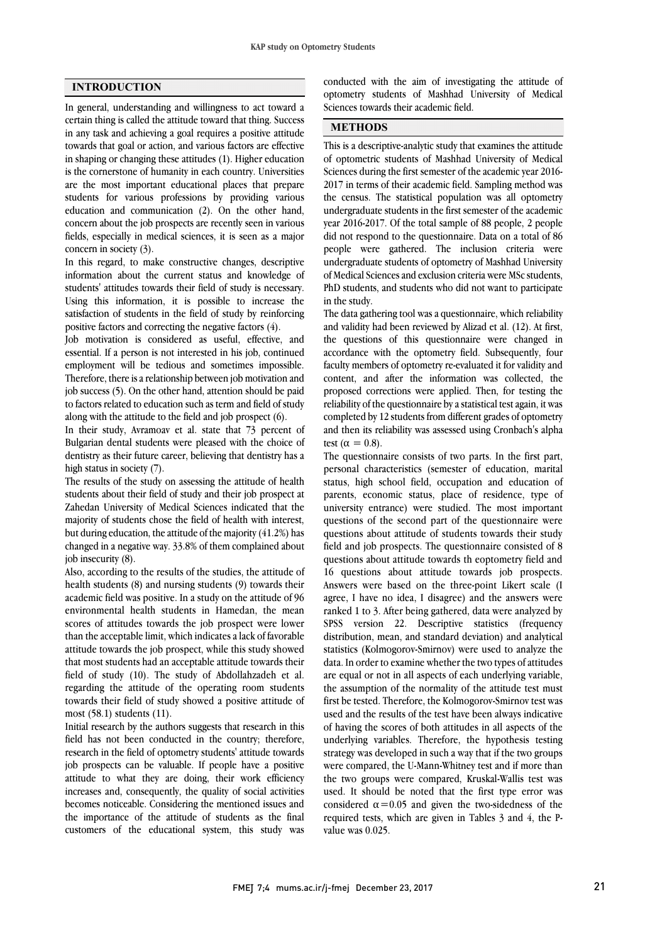#### **INTRODUCTION**

In general, understanding and willingness to act toward a certain thing is called the attitude toward that thing. Success in any task and achieving a goal requires a positive attitude towards that goal or action, and various factors are effective in shaping or changing these attitudes (1). Higher education is the cornerstone of humanity in each country. Universities are the most important educational places that prepare students for various professions by providing various education and communication (2). On the other hand, concern about the job prospects are recently seen in various fields, especially in medical sciences, it is seen as a major concern in society (3).

In this regard, to make constructive changes, descriptive information about the current status and knowledge of students' attitudes towards their field of study is necessary. Using this information, it is possible to increase the satisfaction of students in the field of study by reinforcing positive factors and correcting the negative factors (4).

Job motivation is considered as useful, effective, and essential. If a person is not interested in his job, continued employment will be tedious and sometimes impossible. Therefore, there is a relationship between job motivation and job success (5). On the other hand, attention should be paid to factors related to education such as term and field of study along with the attitude to the field and job prospect (6).

In their study, Avramoav et al. state that 73 percent of Bulgarian dental students were pleased with the choice of dentistry as their future career, believing that dentistry has a high status in society (7).

The results of the study on assessing the attitude of health students about their field of study and their job prospect at Zahedan University of Medical Sciences indicated that the majority of students chose the field of health with interest, but during education, the attitude of the majority (41.2%) has changed in a negative way. 33.8% of them complained about job insecurity (8).

Also, according to the results of the studies, the attitude of health students (8) and nursing students (9) towards their academic field was positive. In a study on the attitude of 96 environmental health students in Hamedan, the mean scores of attitudes towards the job prospect were lower than the acceptable limit, which indicates a lack of favorable attitude towards the job prospect, while this study showed that most students had an acceptable attitude towards their field of study (10). The study of Abdollahzadeh et al. regarding the attitude of the operating room students towards their field of study showed a positive attitude of most (58.1) students (11).

Initial research by the authors suggests that research in this field has not been conducted in the country; therefore, research in the field of optometry students' attitude towards job prospects can be valuable. If people have a positive attitude to what they are doing, their work efficiency increases and, consequently, the quality of social activities becomes noticeable. Considering the mentioned issues and the importance of the attitude of students as the final customers of the educational system, this study was

 optometry students of Mashhad University of Medical Sciences towards their academic field. conducted with the aim of investigating the attitude of

# **METHODS**Ī

 of optometric students of Mashhad University of Medical Sciences during the first semester of the academic year 2016- 2017 in terms of their academic field. Sampling method was the census. The statistical population was all optometry year 2016-2017. Of the total sample of 88 people, 2 people did not respond to the questionnaire. Data on a total of 86 people were gathered. The inclusion criteria were undergraduate students of optometry of Mashhad University PhD students, and students who did not want to participate in the study. This is a descriptive-analytic study that examines the attitude undergraduate students in the first semester of the academic of Medical Sciences and exclusion criteria were MSc students,

 The data gathering tool was a questionnaire, which reliability and validity had been reviewed by Alizad et al. (12). At first, accordance with the optometry field. Subsequently, four faculty members of optometry re-evaluated it for validity and content, and after the information was collected, the proposed corrections were applied. Then, for testing the completed by 12 students from different grades of optometry and then its reliability was assessed using Cronbach's alpha test ( $\alpha = 0.8$ ). the questions of this questionnaire were changed in reliability of the questionnaire by a statistical test again, it was

 The questionnaire consists of two parts. In the first part, status, high school field, occupation and education of parents, economic status, place of residence, type of university entrance) were studied. The most important questions of the second part of the questionnaire were field and job prospects. The questionnaire consisted of 8 questions about attitude towards th eoptometry field and 16 questions about attitude towards job prospects. Answers were based on the three-point Likert scale (I agree, I have no idea, I disagree) and the answers were<br>ranked 1 to 3. After being gathered, data were analyzed by SPSS version 22. Descriptive statistics (frequency distribution, mean, and standard deviation) and analytical statistics (Kolmogorov-Smirnov) were used to analyze the and in order to examine whether the two types of attitudes are equal or not in all aspects of each underlying variable, the assumption of the normality of the attitude test must first be tested. Therefore, the Kolmogorov-Smirnov test was used and the results of the test have been always indicative underlying variables. Therefore, the hypothesis testing strategy was developed in such a way that if the two groups were compared, the U-Mann-Whitney test and if more than the two groups were compared, Kruskal-Wallis test was considered  $\alpha$ =0.05 and given the two-sidedness of the required tests, which are given in Tables 3 and 4, the P- value was 0.025. personal characteristics (semester of education, marital questions about attitude of students towards their study agree, I have no idea, I disagree) and the answers were data. In order to examine whether the two types of attitudes of having the scores of both attitudes in all aspects of the used. It should be noted that the first type error was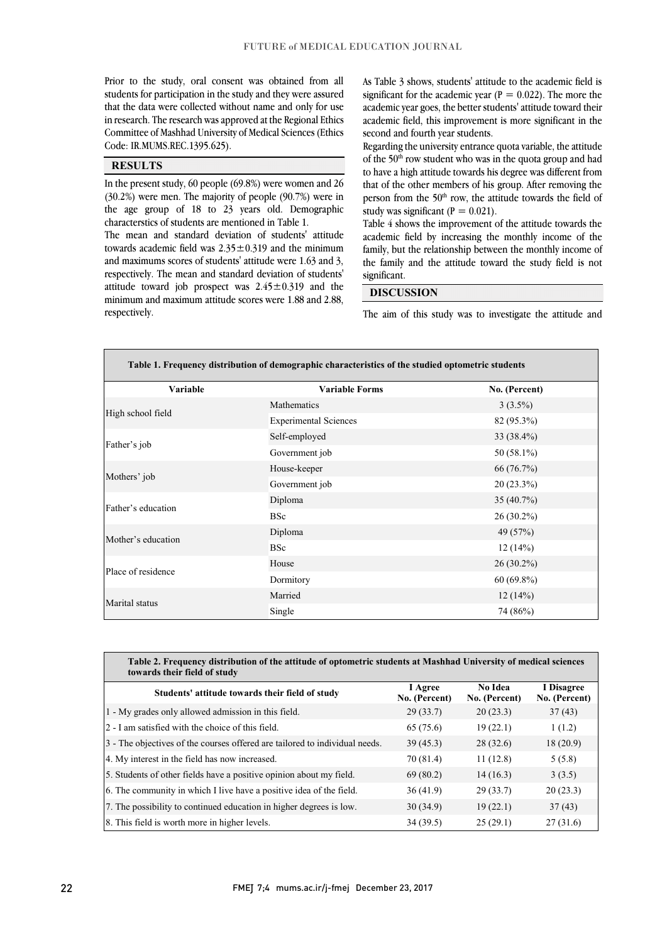students for participation in the study and they were assured that the data were collected without name and only for use in research. The research was approved at the Regional Ethics Committee of Mashhad University of Medical Sciences (Ethics Prior to the study, oral consent was obtained from all Code: IR.MUMS.REC.1395.625).

### **RESULTS**

 In the present study, 60 people (69.8%) were women and 26 (30.2%) were men. The majority of people (90.7%) were in characterstics of students are mentioned in Table 1. the age group of 18 to 23 years old. Demographic

 The mean and standard deviation of students' attitude towards academic field was  $2.35 \pm 0.319$  and the minimum and maximums scores of students' attitude were 1.63 and 3, attitude toward job prospect was  $2.45 \pm 0.319$  and the minimum and maximum attitude scores were 1.88 and 2.88, respectively. The mean and standard deviation of students' respectively.

significant for the academic year  $(P = 0.022)$ . The more the academic year goes, the better students' attitude toward their academic field, this improvement is more significant in the As Table 3 shows, students' attitude to the academic field is second and fourth year students.

Regarding the university entrance quota variable, the attitude to have a high attitude towards his degree was different from that of the other members of his group. After removing the person from the 50<sup>th</sup> row, the attitude towards the field of of the 50<sup>th</sup> row student who was in the quota group and had study was significant  $(P = 0.021)$ .

Table 4 shows the improvement of the attitude towards the academic field by increasing the monthly income of the family, but the relationship between the monthly income of the family and the attitude toward the study field is not ֦ significant.

## **DISCUSSION**

The aim of this study was to investigate the attitude and

֦

L

| Table 1. Frequency distribution of demographic characteristics of the studied optometric students |                              |               |  |  |  |
|---------------------------------------------------------------------------------------------------|------------------------------|---------------|--|--|--|
| <b>Variable</b>                                                                                   | <b>Variable Forms</b>        | No. (Percent) |  |  |  |
| High school field                                                                                 | Mathematics                  | $3(3.5\%)$    |  |  |  |
|                                                                                                   | <b>Experimental Sciences</b> | 82 (95.3%)    |  |  |  |
| Father's job                                                                                      | Self-employed                | 33 (38.4%)    |  |  |  |
|                                                                                                   | Government job               | 50 (58.1%)    |  |  |  |
|                                                                                                   | House-keeper                 | 66 (76.7%)    |  |  |  |
| Mothers' job                                                                                      | Government job               | $20(23.3\%)$  |  |  |  |
| Father's education                                                                                | Diploma                      | $35(40.7\%)$  |  |  |  |
|                                                                                                   | <b>BSc</b>                   | $26(30.2\%)$  |  |  |  |
| Mother's education                                                                                | Diploma                      | 49 (57%)      |  |  |  |
|                                                                                                   | <b>BSc</b>                   | 12(14%)       |  |  |  |
| Place of residence                                                                                | House                        | $26(30.2\%)$  |  |  |  |
|                                                                                                   | Dormitory                    | $60(69.8\%)$  |  |  |  |
| Marital status                                                                                    | Married                      | 12(14%)       |  |  |  |
|                                                                                                   | Single                       | 74 (86%)      |  |  |  |

 $\overline{a}$ 

| Table 2. Frequency distribution of the attitude of optometric students at Mashhad University of medical sciences<br>towards their field of study |                          |                          |                             |  |  |  |  |
|--------------------------------------------------------------------------------------------------------------------------------------------------|--------------------------|--------------------------|-----------------------------|--|--|--|--|
| Students' attitude towards their field of study                                                                                                  | I Agree<br>No. (Percent) | No Idea<br>No. (Percent) | I Disagree<br>No. (Percent) |  |  |  |  |
| 1 - My grades only allowed admission in this field.                                                                                              | 29(33.7)                 | 20(23.3)                 | 37(43)                      |  |  |  |  |
| 2 - I am satisfied with the choice of this field.                                                                                                | 65 (75.6)                | 19(22.1)                 | 1(1.2)                      |  |  |  |  |
| 3 - The objectives of the courses offered are tailored to individual needs.                                                                      | 39(45.3)                 | 28(32.6)                 | 18(20.9)                    |  |  |  |  |
| 4. My interest in the field has now increased.                                                                                                   | 70 (81.4)                | 11(12.8)                 | 5(5.8)                      |  |  |  |  |
| 5. Students of other fields have a positive opinion about my field.                                                                              | 69 (80.2)                | 14(16.3)                 | 3(3.5)                      |  |  |  |  |
| 6. The community in which I live have a positive idea of the field.                                                                              | 36(41.9)                 | 29(33.7)                 | 20(23.3)                    |  |  |  |  |
| 7. The possibility to continued education in higher degrees is low.                                                                              | 30(34.9)                 | 19(22.1)                 | 37(43)                      |  |  |  |  |
| 8. This field is worth more in higher levels.                                                                                                    | 34(39.5)                 | 25(29.1)                 | 27(31.6)                    |  |  |  |  |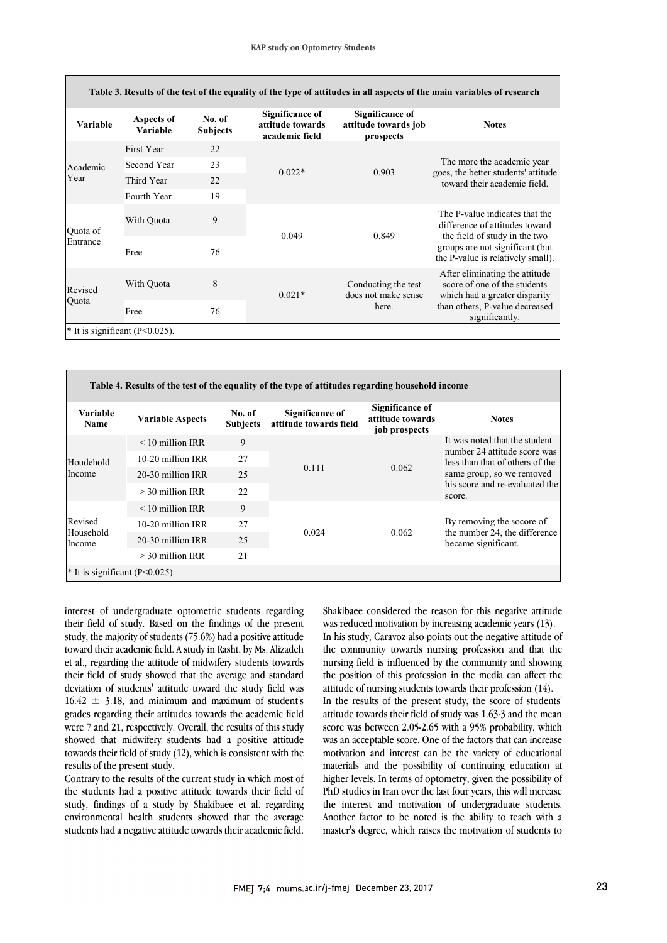l

| Table 3. Results of the test of the equality of the type of attitudes in all aspects of the main variables of research |                        |                           |                                                       |                                                      |                                                                                                                                                                           |
|------------------------------------------------------------------------------------------------------------------------|------------------------|---------------------------|-------------------------------------------------------|------------------------------------------------------|---------------------------------------------------------------------------------------------------------------------------------------------------------------------------|
| <b>Variable</b>                                                                                                        | Aspects of<br>Variable | No. of<br><b>Subjects</b> | Significance of<br>attitude towards<br>academic field | Significance of<br>attitude towards job<br>prospects | <b>Notes</b>                                                                                                                                                              |
| Academic<br>Year                                                                                                       | First Year             | 22                        | $0.022*$                                              | 0.903                                                | The more the academic year<br>goes, the better students' attitude<br>toward their academic field.                                                                         |
|                                                                                                                        | Second Year            | 23                        |                                                       |                                                      |                                                                                                                                                                           |
|                                                                                                                        | Third Year             | 22                        |                                                       |                                                      |                                                                                                                                                                           |
|                                                                                                                        | Fourth Year            | 19                        |                                                       |                                                      |                                                                                                                                                                           |
| Quota of<br>Entrance                                                                                                   | With Quota             | 9                         | 0.049                                                 | 0.849                                                | The P-value indicates that the<br>difference of attitudes toward<br>the field of study in the two<br>groups are not significant (but<br>the P-value is relatively small). |
|                                                                                                                        | Free                   | 76                        |                                                       |                                                      |                                                                                                                                                                           |
| Revised<br>Quota                                                                                                       | With Quota             | 8                         | $0.021*$                                              | Conducting the test<br>does not make sense<br>here.  | After eliminating the attitude<br>score of one of the students<br>which had a greater disparity<br>than others, P-value decreased<br>significantly.                       |
|                                                                                                                        | Free                   | 76                        |                                                       |                                                      |                                                                                                                                                                           |
| $*$ It is significant (P<0.025).                                                                                       |                        |                           |                                                       |                                                      |                                                                                                                                                                           |

| Table 4. Results of the test of the equality of the type of attitudes regarding household income |                         |                           |                                           |                                                             |                                                                                                                                                                           |
|--------------------------------------------------------------------------------------------------|-------------------------|---------------------------|-------------------------------------------|-------------------------------------------------------------|---------------------------------------------------------------------------------------------------------------------------------------------------------------------------|
| Variable<br><b>Name</b>                                                                          | <b>Variable Aspects</b> | No. of<br><b>Subjects</b> | Significance of<br>attitude towards field | <b>Significance of</b><br>attitude towards<br>job prospects | <b>Notes</b>                                                                                                                                                              |
| Houdehold<br>Income                                                                              | $<$ 10 million IRR      | 9                         | 0.111                                     | 0.062                                                       | It was noted that the student<br>number 24 attitude score was<br>less than that of others of the<br>same group, so we removed<br>his score and re-evaluated the<br>score. |
|                                                                                                  | 10-20 million IRR       | 27                        |                                           |                                                             |                                                                                                                                                                           |
|                                                                                                  | 20-30 million IRR       | 25                        |                                           |                                                             |                                                                                                                                                                           |
|                                                                                                  | $>$ 30 million IRR      | 22                        |                                           |                                                             |                                                                                                                                                                           |
| Revised<br>Household<br>Income                                                                   | $<$ 10 million IRR      | 9                         | 0.024                                     | 0.062                                                       | By removing the socore of<br>the number 24, the difference<br>became significant.                                                                                         |
|                                                                                                  | 10-20 million IRR       | 27                        |                                           |                                                             |                                                                                                                                                                           |
|                                                                                                  | 20-30 million IRR       | 25                        |                                           |                                                             |                                                                                                                                                                           |
|                                                                                                  | $>$ 30 million IRR      | 2.1                       |                                           |                                                             |                                                                                                                                                                           |
| <sup>*</sup> It is significant ( $P<0.025$ ).                                                    |                         |                           |                                           |                                                             |                                                                                                                                                                           |

interest of undergraduate optometric students regarding their field of study. Based on the findings of the present study, the majority of students (75.6%) had a positive attitude toward their academic field. A study in Rasht, by Ms. Alizadeh et al., regarding the attitude of midwifery students towards their field of study showed that the average and standard deviation of students' attitude toward the study field was  $16.42 \pm 3.18$ , and minimum and maximum of student's grades regarding their attitudes towards the academic field were 7 and 21, respectively. Overall, the results of this study showed that midwifery students had a positive attitude towards their field of study (12), which is consistent with the results of the present study.

Contrary to the results of the current study in which most of the students had a positive attitude towards their field of study, findings of a study by Shakibaee et al. regarding environmental health students showed that the average students had a negative attitude towards their academic field.

 Shakibaee considered the reason for this negative attitude was reduced motivation by increasing academic years (13). In his study, Caravoz also points out the negative attitude of the community towards nursing profession and that the the position of this profession in the media can affect the nursing field is influenced by the community and showing attitude of nursing students towards their profession (14). In the results of the present study, the score of students' attitude towards their field of study was 1.63-3 and the mean score was between 2.05-2.65 with a 95% probability, which was an acceptable score. One of the factors that can increase motivation and interest can be the variety of educational materials and the possibility of continuing education at higher levels. In terms of optometry, given the possibility of PhD studies in Iran over the last four years, this will increase the interest and motivation of undergraduate students. Another factor to be noted is the ability to teach with a master's degree, which raises the motivation of students to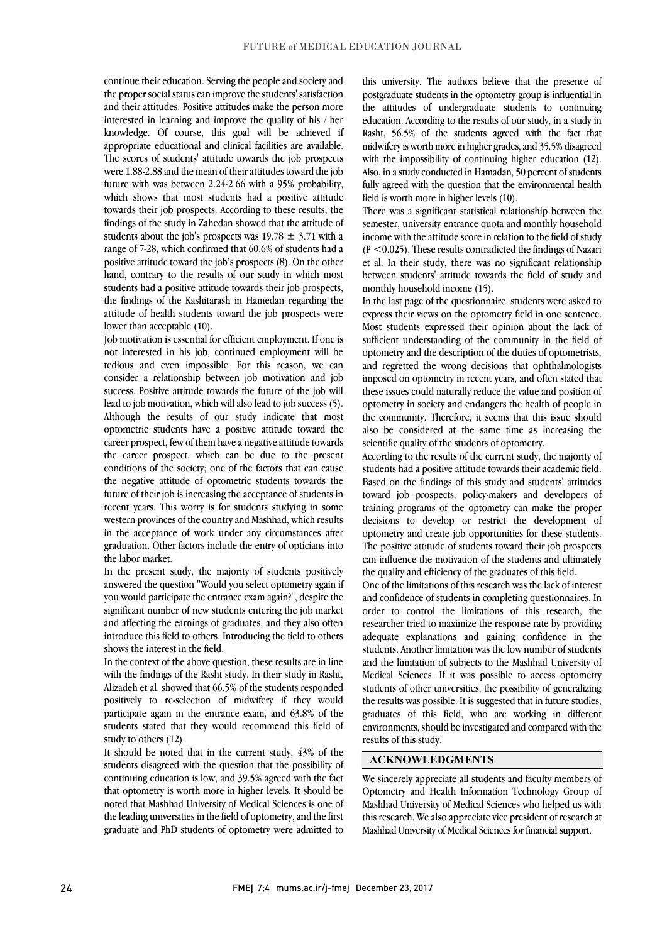continue their education. Serving the people and society and the proper social status can improve the students' satisfaction and their attitudes. Positive attitudes make the person more interested in learning and improve the quality of his / her knowledge. Of course, this goal will be achieved if appropriate educational and clinical facilities are available. The scores of students' attitude towards the job prospects were 1.88-2.88 and the mean of their attitudes toward the job future with was between 2.24-2.66 with a 95% probability, which shows that most students had a positive attitude towards their job prospects. According to these results, the findings of the study in Zahedan showed that the attitude of students about the job's prospects was  $19.78 \pm 3.71$  with a range of 7-28, which confirmed that 60.6% of students had a positive attitude toward the job's prospects (8). On the other hand, contrary to the results of our study in which most students had a positive attitude towards their job prospects, the findings of the Kashitarash in Hamedan regarding the attitude of health students toward the job prospects were lower than acceptable (10).

Job motivation is essential for efficient employment. If one is not interested in his job, continued employment will be tedious and even impossible. For this reason, we can consider a relationship between job motivation and job success. Positive attitude towards the future of the job will lead to job motivation, which will also lead to job success (5). Although the results of our study indicate that most optometric students have a positive attitude toward the career prospect, few of them have a negative attitude towards the career prospect, which can be due to the present conditions of the society; one of the factors that can cause the negative attitude of optometric students towards the future of their job is increasing the acceptance of students in recent years. This worry is for students studying in some western provinces of the country and Mashhad, which results in the acceptance of work under any circumstances after graduation. Other factors include the entry of opticians into the labor market.

In the present study, the majority of students positively answered the question "Would you select optometry again if you would participate the entrance exam again?", despite the significant number of new students entering the job market and affecting the earnings of graduates, and they also often introduce this field to others. Introducing the field to others shows the interest in the field.

In the context of the above question, these results are in line with the findings of the Rasht study. In their study in Rasht, Alizadeh et al. showed that 66.5% of the students responded positively to re-selection of midwifery if they would participate again in the entrance exam, and 63.8% of the students stated that they would recommend this field of study to others (12).

 the leading universities in the field of optometry, and the first graduate and PhD students of optometry were admitted to It should be noted that in the current study, 43% of the students disagreed with the question that the possibility of continuing education is low, and 39.5% agreed with the fact that optometry is worth more in higher levels. It should be noted that Mashhad University of Medical Sciences is one of this university. The authors believe that the presence of postgraduate students in the optometry group is influential in the attitudes of undergraduate students to continuing education. According to the results of our study, in a study in Rasht, 56.5% of the students agreed with the fact that midwifery is worth more in higher grades, and 35.5% disagreed with the impossibility of continuing higher education (12). Also, in a study conducted in Hamadan, 50 percent of students fully agreed with the question that the environmental health field is worth more in higher levels (10).

There was a significant statistical relationship between the semester, university entrance quota and monthly household income with the attitude score in relation to the field of study  $(P < 0.025)$ . These results contradicted the findings of Nazari et al. In their study, there was no significant relationship between students' attitude towards the field of study and monthly household income (15).

In the last page of the questionnaire, students were asked to express their views on the optometry field in one sentence. Most students expressed their opinion about the lack of sufficient understanding of the community in the field of optometry and the description of the duties of optometrists, and regretted the wrong decisions that ophthalmologists imposed on optometry in recent years, and often stated that these issues could naturally reduce the value and position of optometry in society and endangers the health of people in the community. Therefore, it seems that this issue should also be considered at the same time as increasing the scientific quality of the students of optometry.

According to the results of the current study, the majority of students had a positive attitude towards their academic field. Based on the findings of this study and students' attitudes toward job prospects, policy-makers and developers of training programs of the optometry can make the proper decisions to develop or restrict the development of optometry and create job opportunities for these students. The positive attitude of students toward their job prospects can influence the motivation of the students and ultimately the quality and efficiency of the graduates of this field.

One of the limitations of this research was the lack of interest and confidence of students in completing questionnaires. In order to control the limitations of this research, the researcher tried to maximize the response rate by providing adequate explanations and gaining confidence in the students. Another limitation was the low number of students and the limitation of subjects to the Mashhad University of Medical Sciences. If it was possible to access optometry students of other universities, the possibility of generalizing the results was possible. It is suggested that in future studies, graduates of this field, who are working in different environments, should be investigated and compared with the results of this study.

### **ACKNOWLEDGMENTS**

We sincerely appreciate all students and faculty members of Optometry and Health Information Technology Group of Mashhad University of Medical Sciences who helped us with this research. We also appreciate vice president of research at Mashhad University of Medical Sciences for financial support.